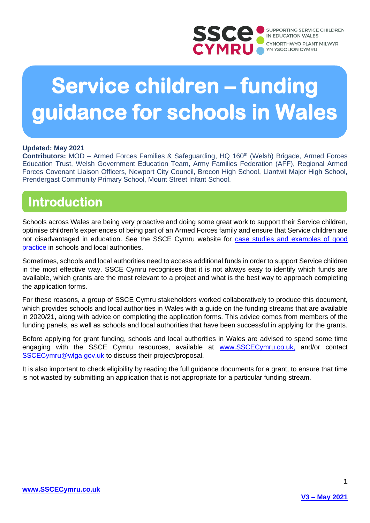

# **Service children – funding guidance for schools in Wales**

#### **Updated: May 2021**

**Contributors:** MOD – Armed Forces Families & Safeguarding, HQ 160<sup>th</sup> (Welsh) Brigade, Armed Forces Education Trust, Welsh Government Education Team, Army Families Federation (AFF), Regional Armed Forces Covenant Liaison Officers, Newport City Council, Brecon High School, Llantwit Major High School, Prendergast Community Primary School, Mount Street Infant School.

## **Introduction**

Schools across Wales are being very proactive and doing some great work to support their Service children, optimise children's experiences of being part of an Armed Forces family and ensure that Service children are not disadvantaged in education. See the SSCE Cymru website for [case studies and examples of good](https://www.sscecymru.co.uk/schoolsandlocalauthorities/goodpractice/default.htm)  [practice](https://www.sscecymru.co.uk/schoolsandlocalauthorities/goodpractice/default.htm) in schools and local authorities.

Sometimes, schools and local authorities need to access additional funds in order to support Service children in the most effective way. SSCE Cymru recognises that it is not always easy to identify which funds are available, which grants are the most relevant to a project and what is the best way to approach completing the application forms.

For these reasons, a group of SSCE Cymru stakeholders worked collaboratively to produce this document, which provides schools and local authorities in Wales with a guide on the funding streams that are available in 2020/21, along with advice on completing the application forms. This advice comes from members of the funding panels, as well as schools and local authorities that have been successful in applying for the grants.

Before applying for grant funding, schools and local authorities in Wales are advised to spend some time engaging with the SSCE Cymru resources, available at [www.SSCECymru.co.uk,](http://www.sscecymru.co.uk/) and/or contact [SSCECymru@wlga.gov.uk](mailto:SSCECymru@wlga.gov.uk) to discuss their project/proposal.

It is also important to check eligibility by reading the full guidance documents for a grant, to ensure that time is not wasted by submitting an application that is not appropriate for a particular funding stream.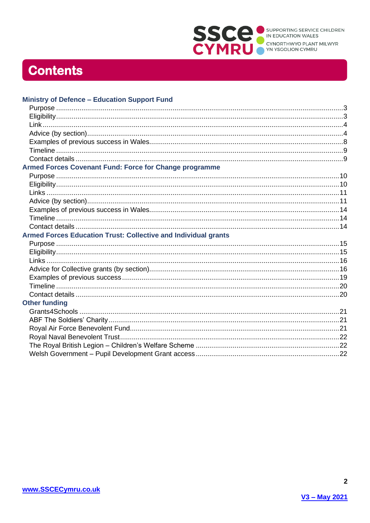

## **Contents**

| <b>Ministry of Defence - Education Support Fund</b>            |  |
|----------------------------------------------------------------|--|
|                                                                |  |
|                                                                |  |
|                                                                |  |
|                                                                |  |
|                                                                |  |
|                                                                |  |
|                                                                |  |
| Armed Forces Covenant Fund: Force for Change programme         |  |
|                                                                |  |
|                                                                |  |
|                                                                |  |
|                                                                |  |
|                                                                |  |
|                                                                |  |
|                                                                |  |
| Armed Forces Education Trust: Collective and Individual grants |  |
|                                                                |  |
|                                                                |  |
|                                                                |  |
|                                                                |  |
|                                                                |  |
|                                                                |  |
|                                                                |  |
| <b>Other funding</b>                                           |  |
|                                                                |  |
|                                                                |  |
|                                                                |  |
|                                                                |  |
|                                                                |  |
|                                                                |  |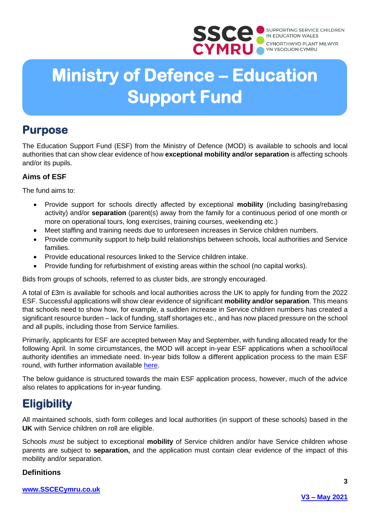

# **Ministry of Defence – Education Support Fund**

## <span id="page-2-0"></span>**Purpose**

The Education Support Fund (ESF) from the Ministry of Defence (MOD) is available to schools and local authorities that can show clear evidence of how **exceptional mobility and/or separation** is affecting schools and/or its pupils.

## **Aims of ESF**

The fund aims to:

- Provide support for schools directly affected by exceptional **mobility** (including basing/rebasing activity) and/or **separation** (parent(s) away from the family for a continuous period of one month or more on operational tours, long exercises, training courses, weekending etc.)
- Meet staffing and training needs due to unforeseen increases in Service children numbers.
- Provide community support to help build relationships between schools, local authorities and Service families.
- Provide educational resources linked to the Service children intake.
- Provide funding for refurbishment of existing areas within the school (no capital works).

Bids from groups of schools, referred to as cluster bids, are strongly encouraged.

A total of £3m is available for schools and local authorities across the UK to apply for funding from the 2022 ESF. Successful applications will show clear evidence of significant **mobility and/or separation**. This means that schools need to show how, for example, a sudden increase in Service children numbers has created a significant resource burden – lack of funding, staff shortages etc., and has now placed pressure on the school and all pupils, including those from Service families.

Primarily, applicants for ESF are accepted between May and September, with funding allocated ready for the following April. In some circumstances, the MOD will accept in-year ESF applications when a school/local authority identifies an immediate need. In-year bids follow a different application process to the main ESF round, with further information available [here.](https://www.gov.uk/government/publications/mod-support-fund-for-schools-with-service-children-grant-application-pack/mod-esf-in-year-guidance)

The below guidance is structured towards the main ESF application process, however, much of the advice also relates to applications for in-year funding.

## <span id="page-2-1"></span>**Eligibility**

All maintained schools, sixth form colleges and local authorities (in support of these schools) based in the **UK** with Service children on roll are eligible.

Schools *must* be subject to exceptional **mobility** of Service children and/or have Service children whose parents are subject to **separation,** and the application must contain clear evidence of the impact of this mobility and/or separation.

## **Definitions**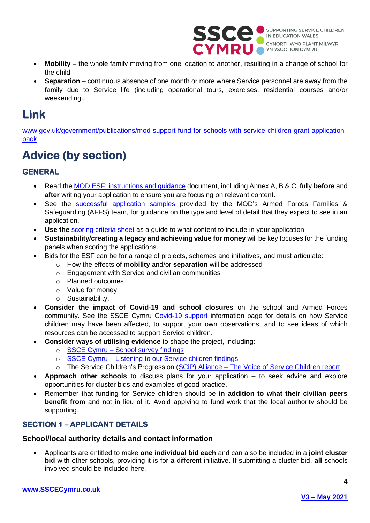

- **Mobility** the whole family moving from one location to another, resulting in a change of school for the child.
- **Separation** continuous absence of one month or more where Service personnel are away from the family due to Service life (including operational tours, exercises, residential courses and/or weekending).

## <span id="page-3-0"></span>**Link**

[www.gov.uk/government/publications/mod-support-fund-for-schools-with-service-children-grant-application](https://www.gov.uk/government/publications/mod-support-fund-for-schools-with-service-children-grant-application-pack)[pack](https://www.gov.uk/government/publications/mod-support-fund-for-schools-with-service-children-grant-application-pack)

## <span id="page-3-1"></span>**Advice (by section)**

## **GENERAL**

- Read the [MOD ESF: instructions and](https://www.gov.uk/government/publications/mod-support-fund-for-schools-with-service-children-grant-application-pack/mod-esf-instructions-and-guidance) guidance document, including Annex A, B & C, fully **before** and **after** writing your application to ensure you are focusing on relevant content.
- See the [successful application samples](https://www.gov.uk/government/publications/mod-support-fund-for-schools-with-service-children-grant-application-pack) provided by the MOD's Armed Forces Families & Safeguarding (AFFS) team, for guidance on the type and level of detail that they expect to see in an application.
- **Use the** [scoring criteria sheet](https://assets.publishing.service.gov.uk/government/uploads/system/uploads/attachment_data/file/978940/2022_MOD_ESF_Scoring_sheet.odt) as a guide to what content to include in your application.
- **Sustainability/creating a legacy and achieving value for money** will be key focuses for the funding panels when scoring the applications.
- Bids for the ESF can be for a range of projects, schemes and initiatives, and must articulate:
	- o How the effects of **mobility** and/or **separation** will be addressed
	- o Engagement with Service and civilian communities
	- o Planned outcomes
	- o Value for money
	- o Sustainability.
- **Consider the impact of Covid-19 and school closures** on the school and Armed Forces community. See the SSCE Cymru [Covid-19 support](https://www.sscecymru.co.uk/schoolsandlocalauthorities/covid19support/default.htm) information page for details on how Service children may have been affected, to support your own observations, and to see ideas of which resources can be accessed to support Service children.
- **Consider ways of utilising evidence** to shape the project, including:
	- o SSCE Cymru [School survey findings](https://www.sscecymru.co.uk/files/SSCE%20Cymru%20school%20survey%20(2019)%20findings%20(E).pdf)
	- o SSCE Cymru [Listening to our Service children findings](https://www.sscecymru.co.uk/files/SSCE%20Cymru%20-%20Listening%20to%20our%20Service%20Children%20(2020)%20findings%20(E).pdf)
	- o The Service Children's Progression (SCiP) Alliance [The Voice of Service Children report](https://www.scipalliance.org/assets/files/Listening-to-learn-FINAL-ONLINE-2020_05_14.pdf)
- **Approach other schools** to discuss plans for your application to seek advice and explore opportunities for cluster bids and examples of good practice.
- Remember that funding for Service children should be **in addition to what their civilian peers benefit from** and not in lieu of it. Avoid applying to fund work that the local authority should be supporting.

## **SECTION 1 – APPLICANT DETAILS**

## **School/local authority details and contact information**

• Applicants are entitled to make **one individual bid each** and can also be included in a **joint cluster bid** with other schools, providing it is for a different initiative. If submitting a cluster bid, **all** schools involved should be included here.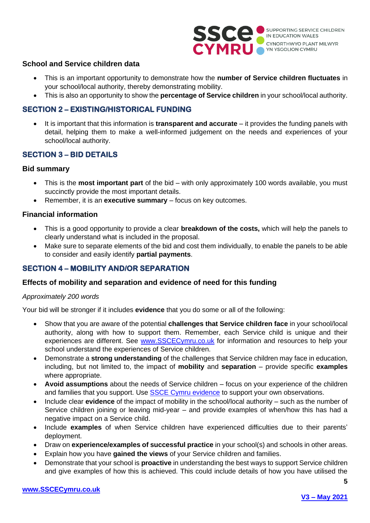

#### **School and Service children data**

- This is an important opportunity to demonstrate how the **number of Service children fluctuates** in your school/local authority, thereby demonstrating mobility.
- This is also an opportunity to show the **percentage of Service children** in your school/local authority.

### **SECTION 2 – EXISTING/HISTORICAL FUNDING**

• It is important that this information is **transparent and accurate** – it provides the funding panels with detail, helping them to make a well-informed judgement on the needs and experiences of your school/local authority.

### **SECTION 3 – BID DETAILS**

#### **Bid summary**

- This is the **most important part** of the bid with only approximately 100 words available, you must succinctly provide the most important details.
- Remember, it is an **executive summary** focus on key outcomes.

#### **Financial information**

- This is a good opportunity to provide a clear **breakdown of the costs,** which will help the panels to clearly understand what is included in the proposal.
- Make sure to separate elements of the bid and cost them individually, to enable the panels to be able to consider and easily identify **partial payments**.

### **SECTION 4 – MOBILITY AND/OR SEPARATION**

#### **Effects of mobility and separation and evidence of need for this funding**

#### *Approximately 200 words*

Your bid will be stronger if it includes **evidence** that you do some or all of the following:

- Show that you are aware of the potential **challenges that Service children face** in your school/local authority, along with how to support them. Remember, each Service child is unique and their experiences are different. See [www.SSCECymru.co.uk](http://www.sscecymru.co.uk/) for information and resources to help your school understand the experiences of Service children.
- Demonstrate a **strong understanding** of the challenges that Service children may face in education, including, but not limited to, the impact of **mobility** and **separation** – provide specific **examples** where appropriate.
- **Avoid assumptions** about the needs of Service children focus on your experience of the children and families that you support. Use [SSCE Cymru evidence](https://www.sscecymru.co.uk/research/sscecymruevidence/default.htm) to support your own observations.
- Include clear **evidence** of the impact of mobility in the school/local authority such as the number of Service children joining or leaving mid-year – and provide examples of when/how this has had a negative impact on a Service child.
- Include **examples** of when Service children have experienced difficulties due to their parents' deployment.
- Draw on **experience/examples of successful practice** in your school(s) and schools in other areas.
- Explain how you have **gained the views** of your Service children and families.
- Demonstrate that your school is **proactive** in understanding the best ways to support Service children and give examples of how this is achieved. This could include details of how you have utilised the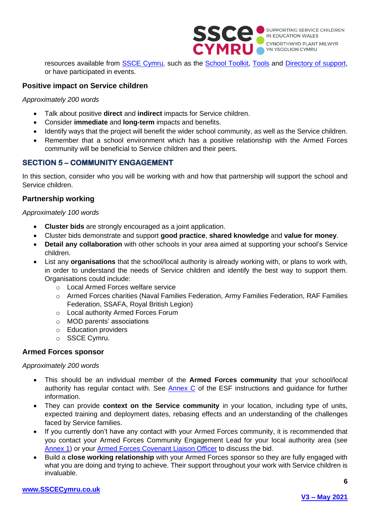

resources available from **SSCE Cymru**, such as the **School Toolkit**, [Tools](https://www.sscecymru.co.uk/toolkits/sscecymrutools/default.htm) and [Directory of support,](https://www.sscecymru.co.uk/resources/directoryofsupport/default.htm) or have participated in events.

### **Positive impact on Service children**

*Approximately 200 words*

- Talk about positive **direct** and **indirect** impacts for Service children.
- Consider **immediate** and **long-term** impacts and benefits.
- Identify ways that the project will benefit the wider school community, as well as the Service children.
- Remember that a school environment which has a positive relationship with the Armed Forces community will be beneficial to Service children and their peers.

### **SECTION 5 – COMMUNITY ENGAGEMENT**

In this section, consider who you will be working with and how that partnership will support the school and Service children.

#### **Partnership working**

#### *Approximately 100 words*

- **Cluster bids** are strongly encouraged as a joint application.
- Cluster bids demonstrate and support **good practice**, **shared knowledge** and **value for money**.
- **Detail any collaboration** with other schools in your area aimed at supporting your school's Service children.
- List any **organisations** that the school/local authority is already working with, or plans to work with, in order to understand the needs of Service children and identify the best way to support them. Organisations could include:
	- o Local Armed Forces welfare service
	- o Armed Forces charities (Naval Families Federation, Army Families Federation, RAF Families Federation, SSAFA, Royal British Legion)
	- o Local authority Armed Forces Forum
	- o MOD parents' associations
	- o Education providers
	- o SSCE Cymru.

#### **Armed Forces sponsor**

#### *Approximately 200 words*

- This should be an individual member of the **Armed Forces community** that your school/local authority has regular contact with. See  $\Delta$  Annex  $C$  of the ESF instructions and guidance for further information.
- They can provide **context on the Service community** in your location, including type of units, expected training and deployment dates, rebasing effects and an understanding of the challenges faced by Service families.
- If you currently don't have any contact with your Armed Forces community, it is recommended that you contact your Armed Forces Community Engagement Lead for your local authority area (see [Annex 1\)](#page-21-3) or your [Armed Forces Covenant Liaison Officer](https://www.sscecymru.co.uk/resources/directoryofsupport/armedforcescovenantdirectory/default.htm) to discuss the bid.
- Build a **close working relationship** with your Armed Forces sponsor so they are fully engaged with what you are doing and trying to achieve. Their support throughout your work with Service children is invaluable.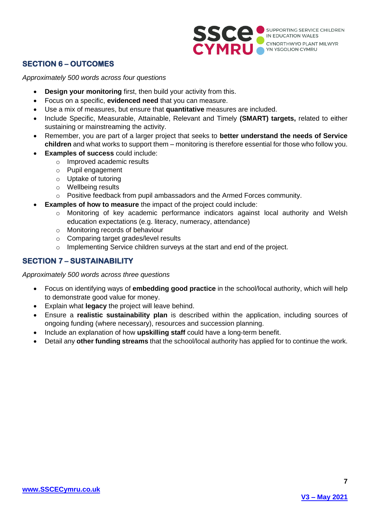

### **SECTION 6 – OUTCOMES**

*Approximately 500 words across four questions*

- **Design your monitoring** first, then build your activity from this.
- Focus on a specific, **evidenced need** that you can measure.
- Use a mix of measures, but ensure that **quantitative** measures are included.
- Include Specific, Measurable, Attainable, Relevant and Timely **(SMART) targets,** related to either sustaining or mainstreaming the activity.
- Remember, you are part of a larger project that seeks to **better understand the needs of Service children** and what works to support them – monitoring is therefore essential for those who follow you.
- **Examples of success** could include:
	- o Improved academic results
	- o Pupil engagement
	- o Uptake of tutoring
	- o Wellbeing results
	- o Positive feedback from pupil ambassadors and the Armed Forces community.
	- **Examples of how to measure** the impact of the project could include:
		- o Monitoring of key academic performance indicators against local authority and Welsh education expectations (e.g. literacy, numeracy, attendance)
		- o Monitoring records of behaviour
		- o Comparing target grades/level results
		- o Implementing Service children surveys at the start and end of the project.

### **SECTION 7 – SUSTAINABILITY**

*Approximately 500 words across three questions*

- Focus on identifying ways of **embedding good practice** in the school/local authority, which will help to demonstrate good value for money.
- Explain what **legacy** the project will leave behind.
- Ensure a **realistic sustainability plan** is described within the application, including sources of ongoing funding (where necessary), resources and succession planning.
- Include an explanation of how **upskilling staff** could have a long-term benefit.
- <span id="page-6-0"></span>• Detail any **other funding streams** that the school/local authority has applied for to continue the work.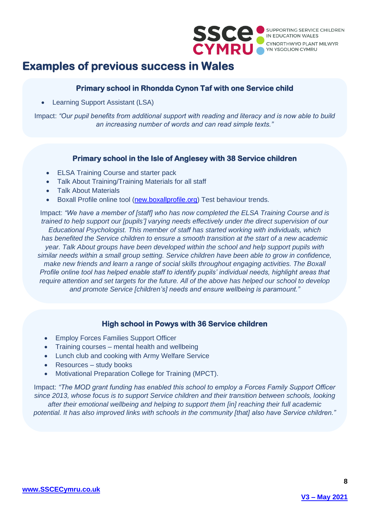

## **Examples of previous success in Wales**

### **Primary school in Rhondda Cynon Taf with one Service child**

• Learning Support Assistant (LSA)

Impact: *"Our pupil benefits from additional support with reading and literacy and is now able to build an increasing number of words and can read simple texts."*

### **Primary school in the Isle of Anglesey with 38 Service children**

- ELSA Training Course and starter pack
- Talk About Training/Training Materials for all staff
- Talk About Materials
- Boxall Profile online tool [\(new.boxallprofile.org\)](https://new.boxallprofile.org/) Test behaviour trends.

Impact: *"We have a member of [staff] who has now completed the ELSA Training Course and is trained to help support our [pupils'] varying needs effectively under the direct supervision of our Educational Psychologist. This member of staff has started working with individuals, which has benefited the Service children to ensure a smooth transition at the start of a new academic year. Talk About groups have been developed within the school and help support pupils with similar needs within a small group setting. Service children have been able to grow in confidence, make new friends and learn a range of social skills throughout engaging activities. The Boxall Profile online tool has helped enable staff to identify pupils' individual needs, highlight areas that require attention and set targets for the future. All of the above has helped our school to develop and promote Service [children's] needs and ensure wellbeing is paramount."*

### **High school in Powys with 36 Service children**

- Employ Forces Families Support Officer
- Training courses mental health and wellbeing
- Lunch club and cooking with Army Welfare Service
- Resources study books
- Motivational Preparation College for Training (MPCT).

<span id="page-7-0"></span>Impact: *"The MOD grant funding has enabled this school to employ a Forces Family Support Officer since 2013, whose focus is to support Service children and their transition between schools, looking after their emotional wellbeing and helping to support them [in] reaching their full academic potential. It has also improved links with schools in the community [that] also have Service children."*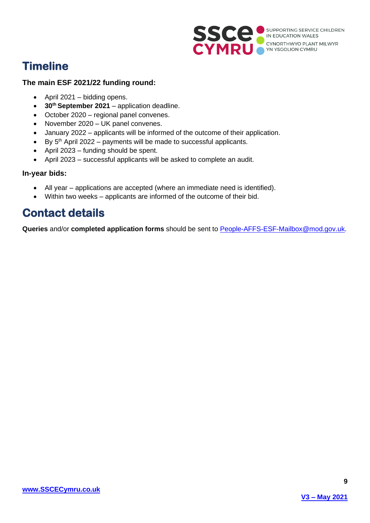

## **Timeline**

### **The main ESF 2021/22 funding round:**

- April 2021 bidding opens.
- **30th September 2021** application deadline.
- October 2020 regional panel convenes.
- November 2020 UK panel convenes.
- January 2022 applicants will be informed of the outcome of their application.
- $\bullet$  By 5<sup>th</sup> April 2022 payments will be made to successful applicants.
- April 2023 funding should be spent.
- April 2023 successful applicants will be asked to complete an audit.

### **In-year bids:**

- All year applications are accepted (where an immediate need is identified).
- Within two weeks applicants are informed of the outcome of their bid.

## <span id="page-8-0"></span>**Contact details**

**Queries** and/or **completed application forms** should be sent to [People-AFFS-ESF-Mailbox@mod.gov.uk.](mailto:People-AFFS-ESF-Mailbox@mod.gov.uk)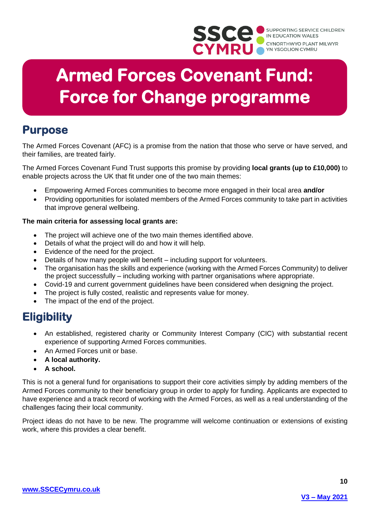

# **Armed Forces Covenant Fund: Force for Change programme**

## <span id="page-9-0"></span>**Purpose**

The Armed Forces Covenant (AFC) is a promise from the nation that those who serve or have served, and their families, are treated fairly.

The Armed Forces Covenant Fund Trust supports this promise by providing **local grants (up to £10,000)** to enable projects across the UK that fit under one of the two main themes:

- Empowering Armed Forces communities to become more engaged in their local area **and/or**
- Providing opportunities for isolated members of the Armed Forces community to take part in activities that improve general wellbeing.

### **The main criteria for assessing local grants are:**

- The project will achieve one of the two main themes identified above.
- Details of what the project will do and how it will help.
- Evidence of the need for the project.
- Details of how many people will benefit including support for volunteers.
- The organisation has the skills and experience (working with the Armed Forces Community) to deliver the project successfully – including working with partner organisations where appropriate.
- Covid-19 and current government guidelines have been considered when designing the project.
- The project is fully costed, realistic and represents value for money.
- The impact of the end of the project.

## <span id="page-9-1"></span>**Eligibility**

- An established, registered charity or Community Interest Company (CIC) with substantial recent experience of supporting Armed Forces communities.
- An Armed Forces unit or base.
- **A local authority.**
- **A school.**

This is not a general fund for organisations to support their core activities simply by adding members of the Armed Forces community to their beneficiary group in order to apply for funding. Applicants are expected to have experience and a track record of working with the Armed Forces, as well as a real understanding of the challenges facing their local community.

<span id="page-9-2"></span>Project ideas do not have to be new. The programme will welcome continuation or extensions of existing work, where this provides a clear benefit.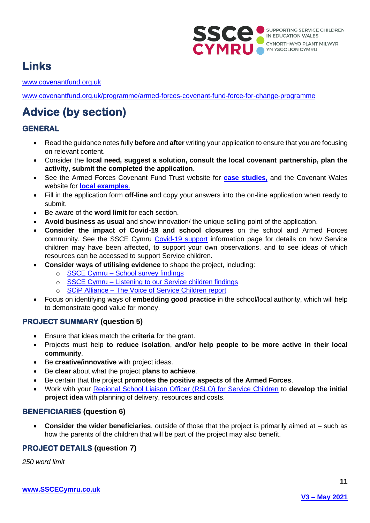

## **Links**

[www.covenantfund.org.uk](http://www.covenantfund.org.uk/)

[www.covenantfund.org.uk/programme/armed-forces-covenant-fund-force-for-change-programme](https://covenantfund.org.uk/programme/armed-forces-covenant-fund-force-for-change-programme/)

## <span id="page-10-0"></span>**Advice (by section)**

## **GENERAL**

- Read the guidance notes fully **before** and **after** writing your application to ensure that you are focusing on relevant content.
- Consider the **local need, suggest a solution, consult the local covenant partnership, plan the activity, submit the completed the application.**
- See the Armed Forces Covenant Fund Trust website for **[case studies,](https://www.covenantfund.org.uk/grants-awarded-through-armed-forces-covenant-local-grants-programme/)** and the Covenant Wales website for **[local examples](http://www.covenantwales.wales/)**.
- Fill in the application form **off-line** and copy your answers into the on-line application when ready to submit.
- Be aware of the **word limit** for each section.
- **Avoid business as usual** and show innovation/ the unique selling point of the application.
- **Consider the impact of Covid-19 and school closures** on the school and Armed Forces community. See the SSCE Cymru [Covid-19 support](https://www.sscecymru.co.uk/schoolsandlocalauthorities/covid19support/default.htm) information page for details on how Service children may have been affected, to support your own observations, and to see ideas of which resources can be accessed to support Service children.
- **Consider ways of utilising evidence** to shape the project, including:
	- o SSCE Cymru [School survey findings](https://www.sscecymru.co.uk/files/SSCE%20Cymru%20school%20survey%20(2019)%20findings%20(E).pdf)
	- o SSCE Cymru [Listening to our Service children findings](https://www.sscecymru.co.uk/files/SSCE%20Cymru%20-%20Listening%20to%20our%20Service%20Children%20(2020)%20findings%20(E).pdf)
	- o SCiP Alliance [The Voice of Service Children report](https://www.scipalliance.org/assets/files/Listening-to-learn-FINAL-ONLINE-2020_05_14.pdf)
- Focus on identifying ways of **embedding good practice** in the school/local authority, which will help to demonstrate good value for money.

## **PROJECT SUMMARY (question 5)**

- Ensure that ideas match the **criteria** for the grant.
- Projects must help **to reduce isolation**, **and/or help people to be more active in their local community**.
- Be **creative/innovative** with project ideas.
- Be **clear** about what the project **plans to achieve**.
- Be certain that the project **promotes the positive aspects of the Armed Forces**.
- Work with your [Regional School Liaison Officer \(RSLO\) for Service Children](https://www.sscecymru.co.uk/sscecymru/engagingwithsscecymru/default.htm) to **develop the initial project idea** with planning of delivery, resources and costs.

## **BENEFICIARIES (question 6)**

• **Consider the wider beneficiaries**, outside of those that the project is primarily aimed at – such as how the parents of the children that will be part of the project may also benefit.

## **PROJECT DETAILS (question 7)**

*250 word limit*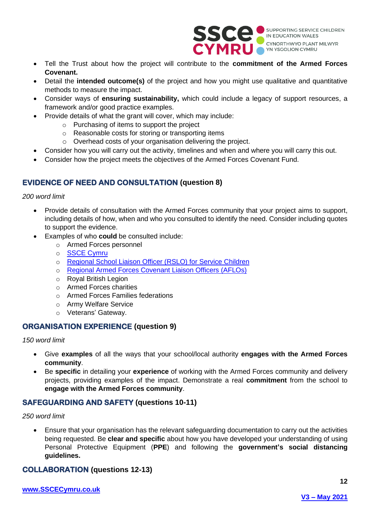

- Tell the Trust about how the project will contribute to the **commitment of the Armed Forces Covenant.**
- Detail the **intended outcome(s)** of the project and how you might use qualitative and quantitative methods to measure the impact.
- Consider ways of **ensuring sustainability,** which could include a legacy of support resources, a framework and/or good practice examples.
- Provide details of what the grant will cover, which may include:
	- o Purchasing of items to support the project
	- o Reasonable costs for storing or transporting items
	- o Overhead costs of your organisation delivering the project.
- Consider how you will carry out the activity, timelines and when and where you will carry this out.
- Consider how the project meets the objectives of the Armed Forces Covenant Fund.

## **EVIDENCE OF NEED AND CONSULTATION (question 8)**

#### *200 word limit*

- Provide details of consultation with the Armed Forces community that your project aims to support, including details of how, when and who you consulted to identify the need. Consider including quotes to support the evidence.
- Examples of who **could** be consulted include:
	- o Armed Forces personnel
	- o [SSCE Cymru](https://www.sscecymru.co.uk/)
	- o [Regional School Liaison Officer \(RSLO\) for Service Children](https://www.sscecymru.co.uk/sscecymru/engagingwithsscecymru/default.htm)
	- o [Regional Armed Forces Covenant Liaison Officers \(AFLOs\)](https://www.sscecymru.co.uk/resources/directoryofsupport/armedforcescovenantdirectory/default.htm)
	- o Royal British Legion
	- o Armed Forces charities
	- o Armed Forces Families federations
	- o Army Welfare Service
	- o Veterans' Gateway.

## **ORGANISATION EXPERIENCE (question 9)**

*150 word limit*

- Give **examples** of all the ways that your school/local authority **engages with the Armed Forces community**.
- Be **specific** in detailing your **experience** of working with the Armed Forces community and delivery projects, providing examples of the impact. Demonstrate a real **commitment** from the school to **engage with the Armed Forces community**.

## **SAFEGUARDING AND SAFETY (questions 10-11)**

*250 word limit*

• Ensure that your organisation has the relevant safeguarding documentation to carry out the activities being requested. Be **clear and specific** about how you have developed your understanding of using Personal Protective Equipment (**PPE**) and following the **government's social distancing guidelines.**

### **COLLABORATION (questions 12-13)**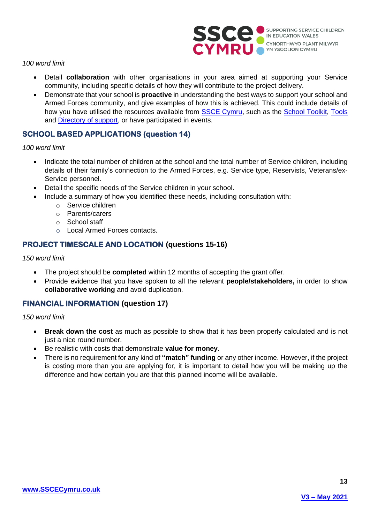

#### *100 word limit*

- Detail **collaboration** with other organisations in your area aimed at supporting your Service community, including specific details of how they will contribute to the project delivery.
- Demonstrate that your school is **proactive** in understanding the best ways to support your school and Armed Forces community, and give examples of how this is achieved. This could include details of how you have utilised the resources available from [SSCE Cymru,](http://www.sscecymru.co.uk/) such as the [School Toolkit,](https://www.sscecymru.co.uk/toolkits/schooltoolkit/default.htm) [Tools](https://www.sscecymru.co.uk/toolkits/sscecymrutools/default.htm) and [Directory of support,](https://www.sscecymru.co.uk/resources/directoryofsupport/default.htm) or have participated in events.

### **SCHOOL BASED APPLICATIONS (question 14)**

#### *100 word limit*

- Indicate the total number of children at the school and the total number of Service children, including details of their family's connection to the Armed Forces, e.g. Service type, Reservists, Veterans/ex-Service personnel.
- Detail the specific needs of the Service children in your school.
- Include a summary of how you identified these needs, including consultation with:
	- o Service children
	- o Parents/carers
	- o School staff
	- o Local Armed Forces contacts.

### **PROJECT TIMESCALE AND LOCATION (questions 15-16)**

#### *150 word limit*

- The project should be **completed** within 12 months of accepting the grant offer.
- Provide evidence that you have spoken to all the relevant **people/stakeholders,** in order to show **collaborative working** and avoid duplication.

### **FINANCIAL INFORMATION (question 17)**

*150 word limit*

- **Break down the cost** as much as possible to show that it has been properly calculated and is not just a nice round number.
- Be realistic with costs that demonstrate **value for money**.
- There is no requirement for any kind of **"match" funding** or any other income. However, if the project is costing more than you are applying for, it is important to detail how you will be making up the difference and how certain you are that this planned income will be available.

<span id="page-12-0"></span>**13**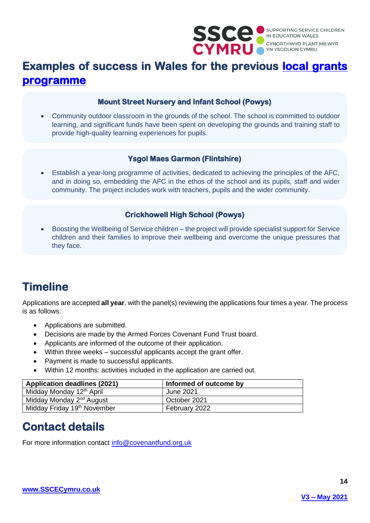

## **Examples of success in Wales for the previous [local grants](http://staging.covenantfund.org.uk/programme/local-grants-programme/)  [programme](http://staging.covenantfund.org.uk/programme/local-grants-programme/)**

### **Mount Street Nursery and Infant School (Powys)**

• Community outdoor classroom in the grounds of the school. The school is committed to outdoor learning, and significant funds have been spent on developing the grounds and training staff to provide high-quality learning experiences for pupils.

## **Ysgol Maes Garmon (Flintshire)**

• Establish a year-long programme of activities, dedicated to achieving the principles of the AFC, and in doing so, embedding the AFC in the ethos of the school and its pupils, staff and wider community. The project includes work with teachers, pupils and the wider community.

## **Crickhowell High School (Powys)**

• Boosting the Wellbeing of Service children – the project will provide specialist support for Service children and their families to improve their wellbeing and overcome the unique pressures that they face.

## <span id="page-13-0"></span>**Timeline**

Applications are accepted **all year**, with the panel(s) reviewing the applications four times a year. The process is as follows:

- Applications are submitted.
- Decisions are made by the Armed Forces Covenant Fund Trust board.
- Applicants are informed of the outcome of their application.
- Within three weeks successful applicants accept the grant offer.
- Payment is made to successful applicants.
- Within 12 months: activities included in the application are carried out.

| <b>Application deadlines (2021)</b>     | Informed of outcome by |
|-----------------------------------------|------------------------|
| Midday Monday 12 <sup>th</sup> April    | June 2021              |
| Midday Monday 2 <sup>nd</sup> August    | October 2021           |
| Midday Friday 19 <sup>th</sup> November | February 2022          |

## <span id="page-13-1"></span>**Contact details**

For more information contact [info@covenantfund.org.uk](mailto:info@covenantfund.org.uk)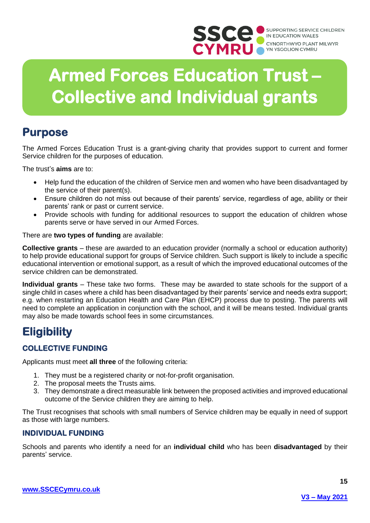

# **Armed Forces Education Trust – Collective and Individual grants**

## <span id="page-14-0"></span>**Purpose**

The Armed Forces Education Trust is a grant-giving charity that provides support to current and former Service children for the purposes of education.

The trust's **aims** are to:

- Help fund the education of the children of Service men and women who have been disadvantaged by the service of their parent(s).
- Ensure children do not miss out because of their parents' service, regardless of age, ability or their parents' rank or past or current service.
- Provide schools with funding for additional resources to support the education of children whose parents serve or have served in our Armed Forces.

There are **two types of funding** are available:

**Collective grants** – these are awarded to an education provider (normally a school or education authority) to help provide educational support for groups of Service children. Such support is likely to include a specific educational intervention or emotional support, as a result of which the improved educational outcomes of the service children can be demonstrated.

**Individual grants** – These take two forms. These may be awarded to state schools for the support of a single child in cases where a child has been disadvantaged by their parents' service and needs extra support; e.g. when restarting an Education Health and Care Plan (EHCP) process due to posting. The parents will need to complete an application in conjunction with the school, and it will be means tested. Individual grants may also be made towards school fees in some circumstances.

## <span id="page-14-1"></span>**Eligibility**

## **COLLECTIVE FUNDING**

Applicants must meet **all three** of the following criteria:

- 1. They must be a registered charity or not-for-profit organisation.
- 2. The proposal meets the Trusts aims.
- 3. They demonstrate a direct measurable link between the proposed activities and improved educational outcome of the Service children they are aiming to help.

The Trust recognises that schools with small numbers of Service children may be equally in need of support as those with large numbers.

## **INDIVIDUAL FUNDING**

<span id="page-14-2"></span>Schools and parents who identify a need for an **individual child** who has been **disadvantaged** by their parents' service.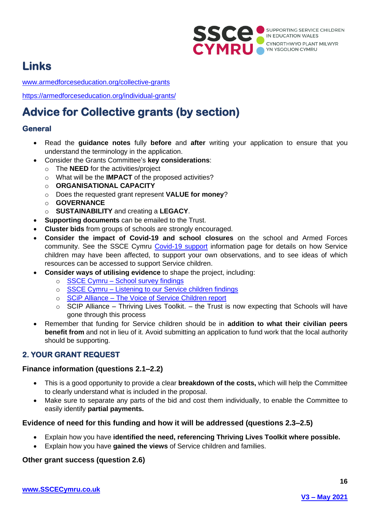

## **Links**

[www.armedforceseducation.org/collective-grants](https://armedforceseducation.org/collective-grants/)

<https://armedforceseducation.org/individual-grants/>

## <span id="page-15-0"></span>**Advice for Collective grants (by section)**

## **General**

- Read the **guidance notes** fully **before** and **after** writing your application to ensure that you understand the terminology in the application.
- Consider the Grants Committee's **key considerations**:
	- o The **NEED** for the activities/project
	- o What will be the **IMPACT** of the proposed activities?
	- o **ORGANISATIONAL CAPACITY**
	- o Does the requested grant represent **VALUE for money**?
	- o **GOVERNANCE**
	- o **SUSTAINABILITY** and creating a **LEGACY**.
- **Supporting documents** can be emailed to the Trust.
- **Cluster bids** from groups of schools are strongly encouraged.
- **Consider the impact of Covid-19 and school closures** on the school and Armed Forces community. See the SSCE Cymru [Covid-19 support](https://www.sscecymru.co.uk/schoolsandlocalauthorities/covid19support/default.htm) information page for details on how Service children may have been affected, to support your own observations, and to see ideas of which resources can be accessed to support Service children.
- **Consider ways of utilising evidence** to shape the project, including:
	- o SSCE Cymru [School survey findings](https://www.sscecymru.co.uk/files/SSCE%20Cymru%20school%20survey%20(2019)%20findings%20(E).pdf)
	- o SSCE Cymru [Listening to our Service children findings](https://www.sscecymru.co.uk/files/SSCE%20Cymru%20-%20Listening%20to%20our%20Service%20Children%20(2020)%20findings%20(E).pdf)
	- o SCiP Alliance [The Voice of Service Children report](https://www.scipalliance.org/assets/files/Listening-to-learn-FINAL-ONLINE-2020_05_14.pdf)
	- $\circ$  SCIP Alliance Thriving Lives Toolkit. the Trust is now expecting that Schools will have gone through this process
- Remember that funding for Service children should be in **addition to what their civilian peers benefit from** and not in lieu of it. Avoid submitting an application to fund work that the local authority should be supporting.

## **2. YOUR GRANT REQUEST**

## **Finance information (questions 2.1–2.2)**

- This is a good opportunity to provide a clear **breakdown of the costs,** which will help the Committee to clearly understand what is included in the proposal.
- Make sure to separate any parts of the bid and cost them individually, to enable the Committee to easily identify **partial payments.**

## **Evidence of need for this funding and how it will be addressed (questions 2.3–2.5)**

- Explain how you have **identified the need, referencing Thriving Lives Toolkit where possible.**
- Explain how you have **gained the views** of Service children and families.

## **Other grant success (question 2.6)**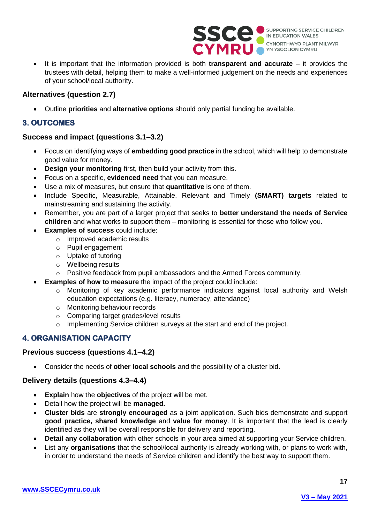

• It is important that the information provided is both **transparent and accurate** – it provides the trustees with detail, helping them to make a well-informed judgement on the needs and experiences of your school/local authority.

### **Alternatives (question 2.7)**

• Outline **priorities** and **alternative options** should only partial funding be available.

## **3. OUTCOMES**

### **Success and impact (questions 3.1–3.2)**

- Focus on identifying ways of **embedding good practice** in the school, which will help to demonstrate good value for money.
- **Design your monitoring** first, then build your activity from this.
- Focus on a specific, **evidenced need** that you can measure.
- Use a mix of measures, but ensure that **quantitative** is one of them.
- Include Specific, Measurable, Attainable, Relevant and Timely **(SMART) targets** related to mainstreaming and sustaining the activity.
- Remember, you are part of a larger project that seeks to **better understand the needs of Service children** and what works to support them – monitoring is essential for those who follow you.
- **Examples of success** could include:
	- o Improved academic results
	- o Pupil engagement
	- o Uptake of tutoring
	- o Wellbeing results
	- o Positive feedback from pupil ambassadors and the Armed Forces community.
- **Examples of how to measure** the impact of the project could include:
	- o Monitoring of key academic performance indicators against local authority and Welsh education expectations (e.g. literacy, numeracy, attendance)
	- o Monitoring behaviour records
	- o Comparing target grades/level results
	- $\circ$  Implementing Service children surveys at the start and end of the project.

## **4. ORGANISATION CAPACITY**

### **Previous success (questions 4.1–4.2)**

• Consider the needs of **other local schools** and the possibility of a cluster bid.

### **Delivery details (questions 4.3–4.4)**

- **Explain** how the **objectives** of the project will be met.
- Detail how the project will be **managed.**
- **Cluster bids** are **strongly encouraged** as a joint application. Such bids demonstrate and support **good practice, shared knowledge** and **value for money**. It is important that the lead is clearly identified as they will be overall responsible for delivery and reporting.
- **Detail any collaboration** with other schools in your area aimed at supporting your Service children.
- List any **organisations** that the school/local authority is already working with, or plans to work with, in order to understand the needs of Service children and identify the best way to support them.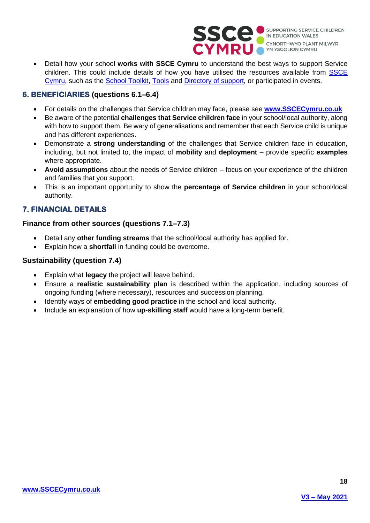

• Detail how your school **works with SSCE Cymru** to understand the best ways to support Service children. This could include details of how you have utilised the resources available from [SSCE](http://www.sscecymru.co.uk/)  [Cymru,](http://www.sscecymru.co.uk/) such as the [School Toolkit,](https://www.sscecymru.co.uk/toolkits/schooltoolkit/default.htm) [Tools](https://www.sscecymru.co.uk/toolkits/sscecymrutools/default.htm) and [Directory of support,](https://www.sscecymru.co.uk/resources/directoryofsupport/default.htm) or participated in events.

### **6. BENEFICIARIES (questions 6.1–6.4)**

- For details on the challenges that Service children may face, please see **[www.SSCECymru.co.uk](http://www.sscecymru.co.uk/)**
- Be aware of the potential **challenges that Service children face** in your school/local authority, along with how to support them. Be wary of generalisations and remember that each Service child is unique and has different experiences.
- Demonstrate a **strong understanding** of the challenges that Service children face in education, including, but not limited to, the impact of **mobility** and **deployment** – provide specific **examples** where appropriate.
- **Avoid assumptions** about the needs of Service children focus on your experience of the children and families that you support.
- This is an important opportunity to show the **percentage of Service children** in your school/local authority.

## **7. FINANCIAL DETAILS**

#### **Finance from other sources (questions 7.1–7.3)**

- Detail any **other funding streams** that the school/local authority has applied for.
- Explain how a **shortfall** in funding could be overcome.

#### **Sustainability (question 7.4)**

- Explain what **legacy** the project will leave behind.
- Ensure a **realistic sustainability plan** is described within the application, including sources of ongoing funding (where necessary), resources and succession planning.
- Identify ways of **embedding good practice** in the school and local authority.
- <span id="page-17-0"></span>• Include an explanation of how **up-skilling staff** would have a long-term benefit.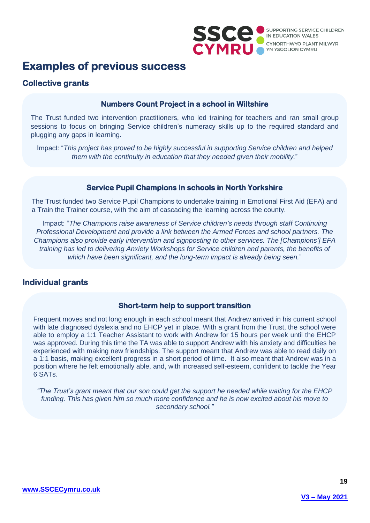

## **Examples of previous success**

## **Collective grants**

### **Numbers Count Project in a school in Wiltshire**

The Trust funded two intervention practitioners, who led training for teachers and ran small group sessions to focus on bringing Service children's numeracy skills up to the required standard and plugging any gaps in learning.

Impact: "*This project has proved to be highly successful in supporting Service children and helped them with the continuity in education that they needed given their mobility.*"

### **Service Pupil Champions in schools in North Yorkshire**

The Trust funded two Service Pupil Champions to undertake training in Emotional First Aid (EFA) and a Train the Trainer course, with the aim of cascading the learning across the county.

Impact: "*The Champions raise awareness of Service children's needs through staff Continuing Professional Development and provide a link between the Armed Forces and school partners. The Champions also provide early intervention and signposting to other services. The [Champions'] EFA training has led to delivering Anxiety Workshops for Service children and parents, the benefits of which have been significant, and the long-term impact is already being seen.*"

## **Individual grants**

### **Short-term help to support transition**

Frequent moves and not long enough in each school meant that Andrew arrived in his current school with late diagnosed dyslexia and no EHCP yet in place. With a grant from the Trust, the school were able to employ a 1:1 Teacher Assistant to work with Andrew for 15 hours per week until the EHCP was approved. During this time the TA was able to support Andrew with his anxiety and difficulties he experienced with making new friendships. The support meant that Andrew was able to read daily on a 1:1 basis, making excellent progress in a short period of time. It also meant that Andrew was in a position where he felt emotionally able, and, with increased self-esteem, confident to tackle the Year 6 SATs.

<span id="page-18-0"></span>*"The Trust's grant meant that our son could get the support he needed while waiting for the EHCP funding. This has given him so much more confidence and he is now excited about his move to secondary school."*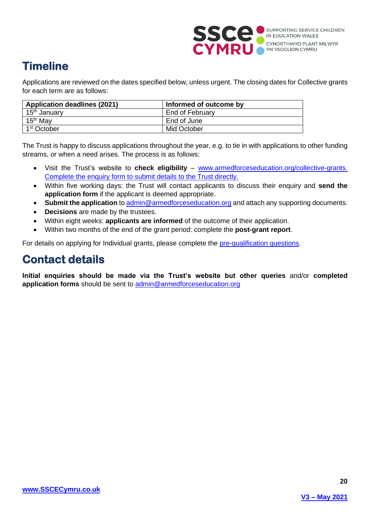

## **Timeline**

Applications are reviewed on the dates specified below, unless urgent. The closing dates for Collective grants for each term are as follows:

| <b>Application deadlines (2021)</b> | Informed of outcome by |
|-------------------------------------|------------------------|
| 15 <sup>th</sup> January            | End of February        |
| 15 <sup>th</sup> May                | End of June            |
| 1 <sup>st</sup> October             | Mid October            |

The Trust is happy to discuss applications throughout the year, e.g. to tie in with applications to other funding streams, or when a need arises. The process is as follows:

- Visit the Trust's website to **check eligibility** [www.armedforceseducation.org/collective-grants.](http://www.armedforceseducation.org/collective-grants) Complete the enquiry form to submit details to the Trust directly.
- Within five working days: the Trust will contact applicants to discuss their enquiry and **send the application form** if the applicant is deemed appropriate.
- **Submit the application** to [admin@armedforceseducation.org](mailto:admin@armedforceseducation.org) and attach any supporting documents.
- **Decisions** are made by the trustees.
- Within eight weeks: **applicants are informed** of the outcome of their application.
- Within two months of the end of the grant period: complete the **post-grant report**.

For details on applying for Individual grants, please complete the [pre-qualification questions.](https://armedforceseducation.org/individual-grant-application/)

## <span id="page-19-0"></span>**Contact details**

**Initial enquiries should be made via the Trust's website but other queries** and/or **completed application forms** should be sent to [admin@armedforceseducation.org](mailto:admin@armedforceseducation.org)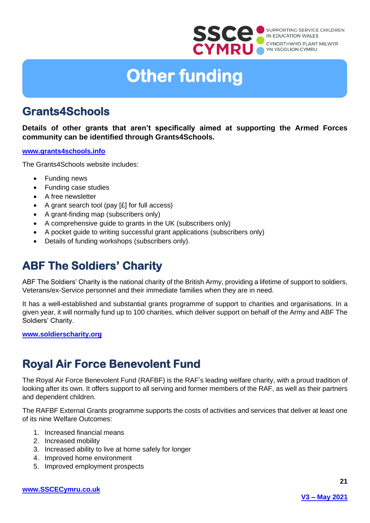

# **Other funding**

## <span id="page-20-0"></span>**Grants4Schools**

**Details of other grants that aren't specifically aimed at supporting the Armed Forces community can be identified through Grants4Schools.**

#### **[www.grants4schools.info](https://www.grants4schools.info/)**

The Grants4Schools website includes:

- Funding news
- Funding case studies
- A free newsletter
- A grant search tool (pay [£] for full access)
- A grant-finding map (subscribers only)
- A comprehensive guide to grants in the UK (subscribers only)
- A pocket guide to writing successful grant applications (subscribers only)
- Details of funding workshops (subscribers only).

## <span id="page-20-1"></span>**ABF The Soldiers' Charity**

ABF The Soldiers' Charity is the national charity of the British Army, providing a lifetime of support to soldiers, Veterans/ex-Service personnel and their immediate families when they are in need.

It has a well-established and substantial grants programme of support to charities and organisations. In a given year, it will normally fund up to 100 charities, which deliver support on behalf of the Army and ABF The Soldiers' Charity.

**[www.soldierscharity.org](https://soldierscharity.org/)**

## <span id="page-20-2"></span>**Royal Air Force Benevolent Fund**

The Royal Air Force Benevolent Fund (RAFBF) is the RAF's leading welfare charity, with a proud tradition of looking after its own. It offers support to all serving and former members of the RAF, as well as their partners and dependent children.

The RAFBF External Grants programme supports the costs of activities and services that deliver at least one of its nine Welfare Outcomes:

- 1. Increased financial means
- 2. Increased mobility
- 3. Increased ability to live at home safely for longer
- 4. Improved home environment
- 5. Improved employment prospects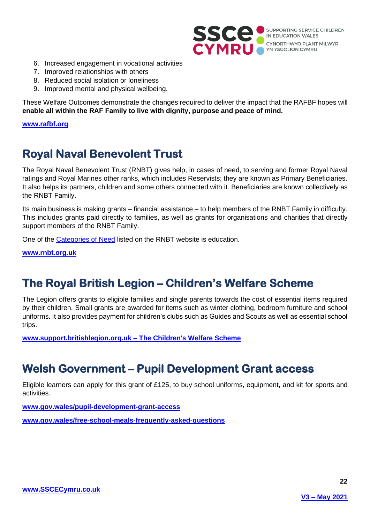

- 6. Increased engagement in vocational activities
- 7. Improved relationships with others
- 8. Reduced social isolation or loneliness
- 9. Improved mental and physical wellbeing.

These Welfare Outcomes demonstrate the changes required to deliver the impact that the RAFBF hopes will **enable all within the RAF Family to live with dignity, purpose and peace of mind.**

**[www.rafbf.org](https://www.rafbf.org/)**

## <span id="page-21-0"></span>**Royal Naval Benevolent Trust**

The Royal Naval Benevolent Trust (RNBT) gives help, in cases of need, to serving and former Royal Naval ratings and Royal Marines other ranks, which includes Reservists; they are known as Primary Beneficiaries. It also helps its partners, children and some others connected with it. Beneficiaries are known collectively as the RNBT Family.

Its main business is making grants – financial assistance – to help members of the RNBT Family in difficulty. This includes grants paid directly to families, as well as grants for organisations and charities that directly support members of the RNBT Family.

One of the [Categories of Need](http://www.rnbt.org.uk/how-we-help/wide-ranging-financial-help/categories-of-need/) listed on the RNBT website is education.

**[www.rnbt.org.uk](http://www.rnbt.org.uk/)**

## <span id="page-21-1"></span>**The Royal British Legion – Children's Welfare Scheme**

The Legion offers grants to eligible families and single parents towards the cost of essential items required by their children. Small grants are awarded for items such as winter clothing, bedroom furniture and school uniforms. It also provides payment for children's clubs such as Guides and Scouts as well as essential school trips.

**www.support.britishlegion.org.uk – The Children's Welfare Scheme**

## <span id="page-21-2"></span>**Welsh Government – Pupil Development Grant access**

Eligible learners can apply for this grant of £125, to buy school uniforms, equipment, and kit for sports and activities.

**[www.gov.wales/pupil-development-grant-access](https://gov.wales/pupil-development-grant-access)**

<span id="page-21-3"></span>**[www.gov.wales/free-school-meals-frequently-asked-questions](https://gov.wales/free-school-meals-frequently-asked-questions)**